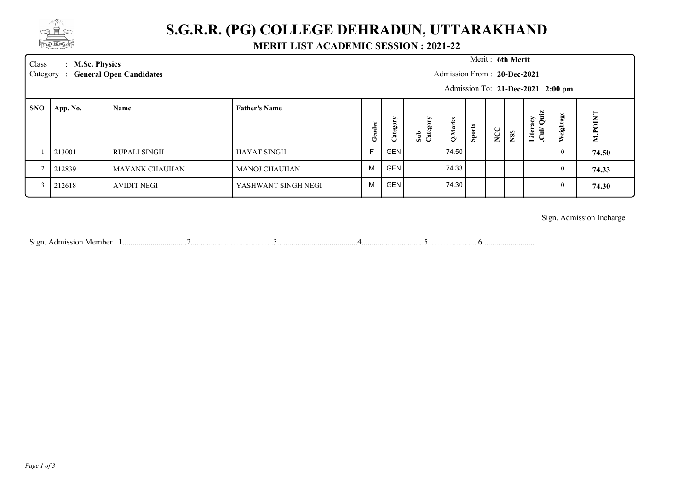

## **S.G.R.R. (PG) COLLEGE DEHRADUN, UTTARAKHAND**

### **MERIT LIST ACADEMIC SESSION : 2021-22**

Class : **M.Sc. Physics** Merit : Category : General Open Candidates **M.Sc. Physics** :

#### Merit: 6th Merit

Admission From : **20-Dec-2021**

Admission To: **21-Dec-2021 2:00 pm**

| <b>SNO</b> | App. No. | Name                | <b>Father's Name</b> | ಕಿ<br>۰ħ. | ∽<br>ьn<br>ಷ | ≻<br>$\sin$<br>œ<br>ల | ▱<br>$\mathbf{\circ}$ | $\bullet$<br>تت<br>$\bullet$<br>கி | ◡<br>ž | <b>SS</b><br>- | N<br>$-1$<br>$\frac{5}{2}$<br>iter.<br>Ξ<br>▬ | ω<br>ă.<br>↩<br>igh<br>$\overline{\omega}$ | ⊨<br>⇁<br>⋸<br><b>DQ</b><br>Σ |
|------------|----------|---------------------|----------------------|-----------|--------------|-----------------------|-----------------------|------------------------------------|--------|----------------|-----------------------------------------------|--------------------------------------------|-------------------------------|
|            | 213001   | <b>RUPALI SINGH</b> | <b>HAYAT SINGH</b>   |           | <b>GEN</b>   |                       | 74.50                 |                                    |        |                |                                               | v                                          | 74.50                         |
| $\sim$     | 212839   | MAYANK CHAUHAN      | MANOJ CHAUHAN        | M         | <b>GEN</b>   |                       | 74.33                 |                                    |        |                |                                               |                                            | 74.33                         |
|            | 212618   | AVIDIT NEGI         | YASHWANT SINGH NEGI  | M         | <b>GEN</b>   |                       | 74.30                 |                                    |        |                |                                               |                                            | 74.30                         |

### Sign. Admission Incharge

Sign. Admission Member 1................................2.........................................3........................................4...............................5.........................6..........................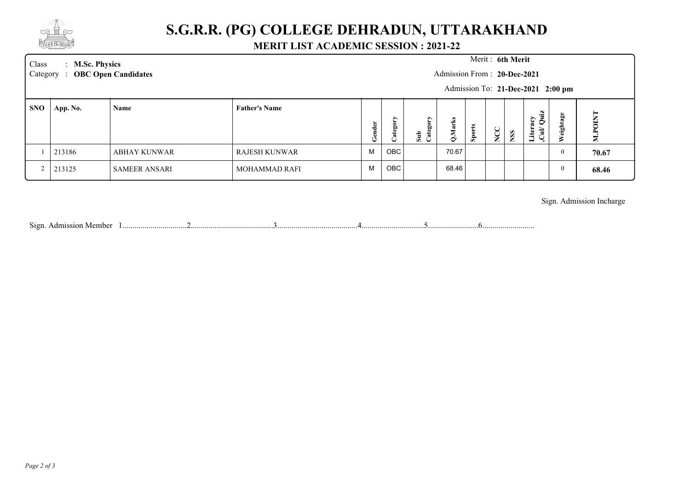

## **S.G.R.R. (PG) COLLEGE DEHRADUN, UTTARAKHAND**

### **MERIT LIST ACADEMIC SESSION : 2021-22**

| Class<br>Category | : M.Sc. Physics | <b>OBC Open Candidates</b> |                      |            |                               |                       | Admission From: 20-Dec-2021 |        | Merit: 6th Merit |    | Admission To: 21-Dec-2021 2:00 pm |          |                |
|-------------------|-----------------|----------------------------|----------------------|------------|-------------------------------|-----------------------|-----------------------------|--------|------------------|----|-----------------------------------|----------|----------------|
| <b>SNO</b>        | App. No.        | Name                       | <b>Father's Name</b> | nder<br>ತೆ | ⋗<br>teg<br>$\mathbb{R}$<br>ب | ΟĽλ<br>Cate<br>$\sin$ | Marks<br>ö                  | Sports | ◡<br>$\Sigma$    | SS | Literacy<br>Cul/Quiz              | eightage | <b>M.POINT</b> |
|                   | 213186          | ABHAY KUNWAR               | RAJESH KUNWAR        | M          | OBC                           |                       | 70.67                       |        |                  |    |                                   | $\theta$ | 70.67          |
|                   | 213125          | <b>SAMEER ANSARI</b>       | <b>MOHAMMAD RAFI</b> | M          | OBC                           |                       | 68.46                       |        |                  |    |                                   | $\bf{0}$ | 68.46          |

Sign. Admission Incharge

Sign. Admission Member 1................................2.........................................3........................................4...............................5.........................6..........................